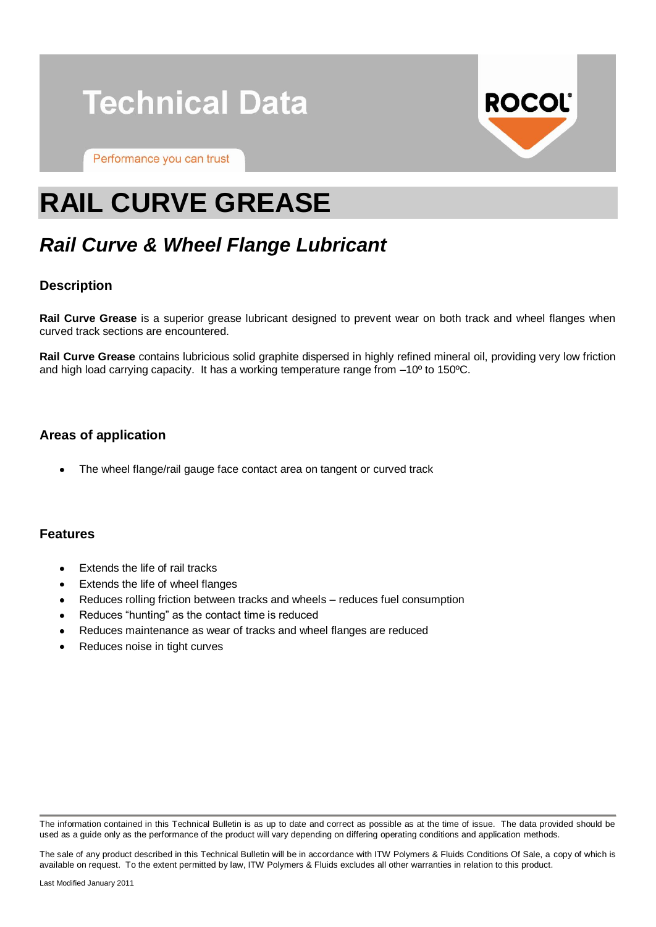

Performance you can trust



# **RAIL CURVE GREASE**

# *Rail Curve & Wheel Flange Lubricant*

### **Description**

**Rail Curve Grease** is a superior grease lubricant designed to prevent wear on both track and wheel flanges when curved track sections are encountered.

**Rail Curve Grease** contains lubricious solid graphite dispersed in highly refined mineral oil, providing very low friction and high load carrying capacity. It has a working temperature range from –10º to 150ºC.

#### **Areas of application**

The wheel flange/rail gauge face contact area on tangent or curved track

#### **Features**

- Extends the life of rail tracks
- Extends the life of wheel flanges
- Reduces rolling friction between tracks and wheels reduces fuel consumption
- Reduces "hunting" as the contact time is reduced
- Reduces maintenance as wear of tracks and wheel flanges are reduced
- Reduces noise in tight curves

The information contained in this Technical Bulletin is as up to date and correct as possible as at the time of issue. The data provided should be used as a guide only as the performance of the product will vary depending on differing operating conditions and application methods.

The sale of any product described in this Technical Bulletin will be in accordance with ITW Polymers & Fluids Conditions Of Sale, a copy of which is available on request. To the extent permitted by law, ITW Polymers & Fluids excludes all other warranties in relation to this product.